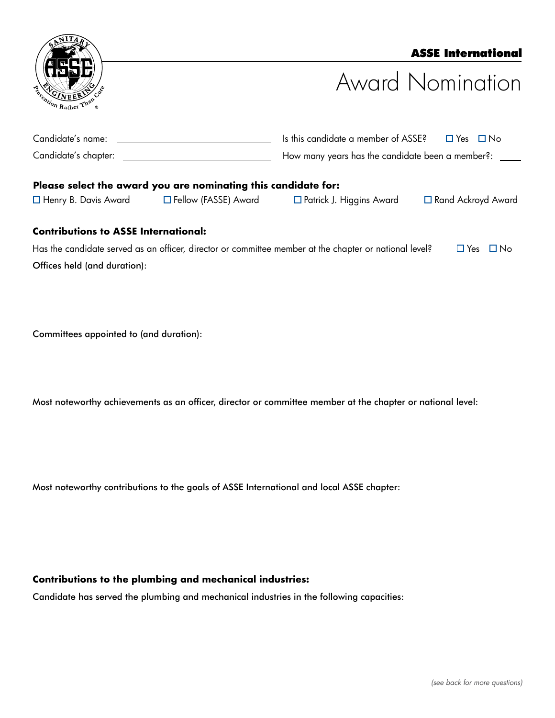| ANITAR               |      |
|----------------------|------|
|                      |      |
| Telephon Rather Than | Cure |
|                      | ®    |

# ASSE International

# Award Nomination

| Candidate's name:    | $\Box$ Yes $\Box$ No<br>Is this candidate a member of ASSE? |  |  |
|----------------------|-------------------------------------------------------------|--|--|
| Candidate's chapter: | How many years has the candidate been a member?: _____      |  |  |
|                      |                                                             |  |  |

#### **Please select the award you are nominating this candidate for:**  $\Box$

| <b>I</b> Henry B. Davis Award<br>$\Box$ Fellow (FASSE). |  |
|---------------------------------------------------------|--|
|---------------------------------------------------------|--|

Award  $\Box$  Patrick J. Higgins Award  $\Box$  Rand Ackroyd Award

# **Contributions to ASSE International:**

Has the candidate served as an officer, director or committee member at the chapter or national level?  $\Box$  Yes  $\Box$  No Offices held (and duration):

Committees appointed to (and duration):

Most noteworthy achievements as an officer, director or committee member at the chapter or national level:

Most noteworthy contributions to the goals of ASSE International and local ASSE chapter:

### **Contributions to the plumbing and mechanical industries:**

Candidate has served the plumbing and mechanical industries in the following capacities: